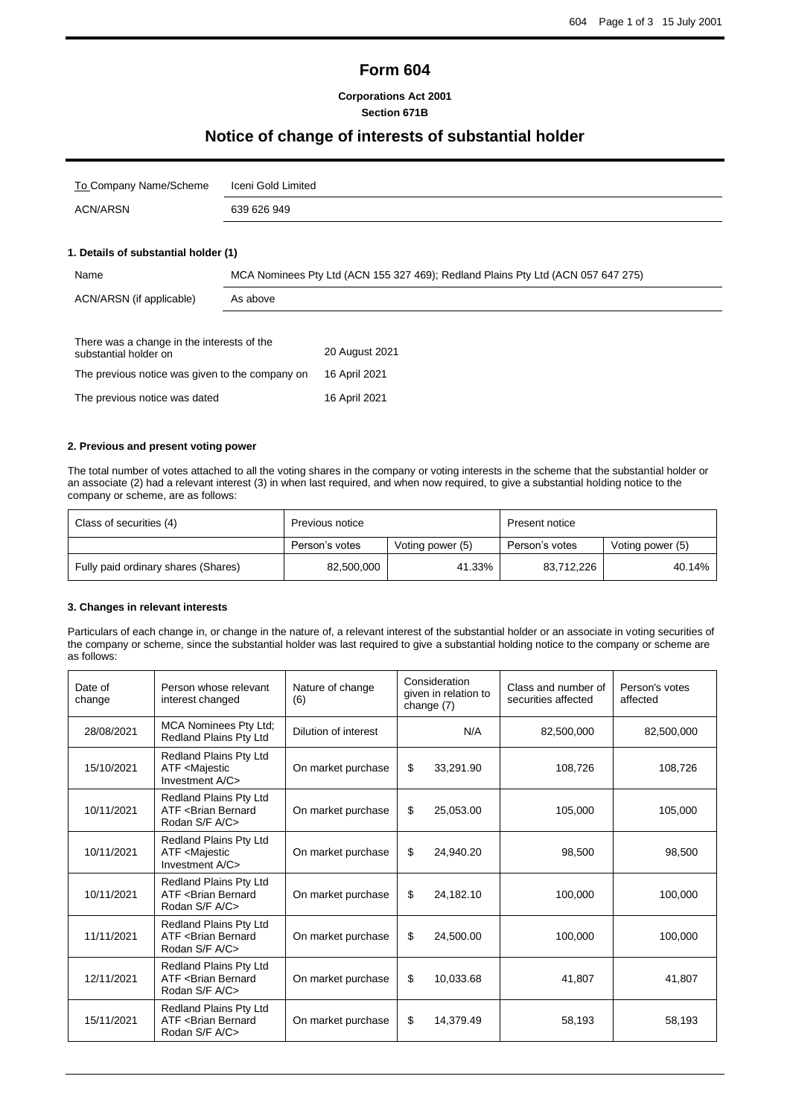## **Form 604**

#### **Corporations Act 2001 Section 671B**

## **Notice of change of interests of substantial holder**

| To Company Name/Scheme | Iceni Gold Limited |
|------------------------|--------------------|
| ACN/ARSN               | 639 626 949        |
|                        |                    |

### **1. Details of substantial holder (1)**

| Name                                                                | MCA Nominees Pty Ltd (ACN 155 327 469); Redland Plains Pty Ltd (ACN 057 647 275) |                |  |
|---------------------------------------------------------------------|----------------------------------------------------------------------------------|----------------|--|
| ACN/ARSN (if applicable)<br>As above                                |                                                                                  |                |  |
| There was a change in the interests of the<br>substantial holder on |                                                                                  | 20 August 2021 |  |
| The previous notice was given to the company on                     |                                                                                  | 16 April 2021  |  |
| The previous notice was dated                                       |                                                                                  | 16 April 2021  |  |

#### **2. Previous and present voting power**

The total number of votes attached to all the voting shares in the company or voting interests in the scheme that the substantial holder or an associate (2) had a relevant interest (3) in when last required, and when now required, to give a substantial holding notice to the company or scheme, are as follows:

| Class of securities (4)             | Previous notice                    |        | Present notice |                  |  |
|-------------------------------------|------------------------------------|--------|----------------|------------------|--|
|                                     | Person's votes<br>Voting power (5) |        | Person's votes | Voting power (5) |  |
| Fully paid ordinary shares (Shares) | 82,500,000                         | 41.33% | 83,712,226     | 40.14%           |  |

#### **3. Changes in relevant interests**

Particulars of each change in, or change in the nature of, a relevant interest of the substantial holder or an associate in voting securities of the company or scheme, since the substantial holder was last required to give a substantial holding notice to the company or scheme are as follows:

| Date of<br>change | Person whose relevant<br>interest changed                                    | Nature of change<br>(6) | Consideration<br>given in relation to<br>change (7) | Class and number of<br>securities affected | Person's votes<br>affected |
|-------------------|------------------------------------------------------------------------------|-------------------------|-----------------------------------------------------|--------------------------------------------|----------------------------|
| 28/08/2021        | <b>MCA Nominees Pty Ltd;</b><br>Redland Plains Pty Ltd                       | Dilution of interest    | N/A                                                 | 82,500,000                                 | 82,500,000                 |
| 15/10/2021        | Redland Plains Pty Ltd<br>ATF <majestic<br>Investment A/C&gt;</majestic<br>  | On market purchase      | \$<br>33.291.90                                     | 108,726                                    | 108,726                    |
| 10/11/2021        | Redland Plains Pty Ltd<br>ATF <brian bernard<br="">Rodan S/F A/C&gt;</brian> | On market purchase      | \$<br>25.053.00                                     | 105.000                                    | 105,000                    |
| 10/11/2021        | Redland Plains Pty Ltd<br>ATF <majestic<br>Investment A/C&gt;</majestic<br>  | On market purchase      | \$<br>24,940.20                                     | 98,500                                     | 98,500                     |
| 10/11/2021        | Redland Plains Pty Ltd<br>ATF <brian bernard<br="">Rodan S/F A/C&gt;</brian> | On market purchase      | \$<br>24.182.10                                     | 100.000                                    | 100.000                    |
| 11/11/2021        | Redland Plains Pty Ltd<br>ATF <brian bernard<br="">Rodan S/F A/C&gt;</brian> | On market purchase      | \$<br>24.500.00                                     | 100.000                                    | 100.000                    |
| 12/11/2021        | Redland Plains Pty Ltd<br>ATF <brian bernard<br="">Rodan S/F A/C&gt;</brian> | On market purchase      | \$<br>10,033.68                                     | 41,807                                     | 41,807                     |
| 15/11/2021        | Redland Plains Pty Ltd<br>ATF <brian bernard<br="">Rodan S/F A/C&gt;</brian> | On market purchase      | \$<br>14,379.49                                     | 58,193                                     | 58,193                     |